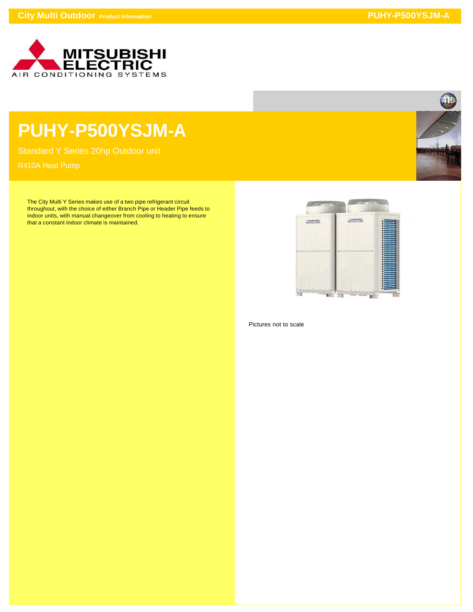

## **PUHY-P500YSJM-A**

Standard Y Series 20hp Outdoor unit

The City Multi Y Series makes use of a two pipe refrigerant circuit throughout, with the choice of either Branch Pipe or Header Pipe feeds to indoor units, with manual changeover from cooling to heating to ensure that a constant indoor climate is maintained.



Pictures not to scale